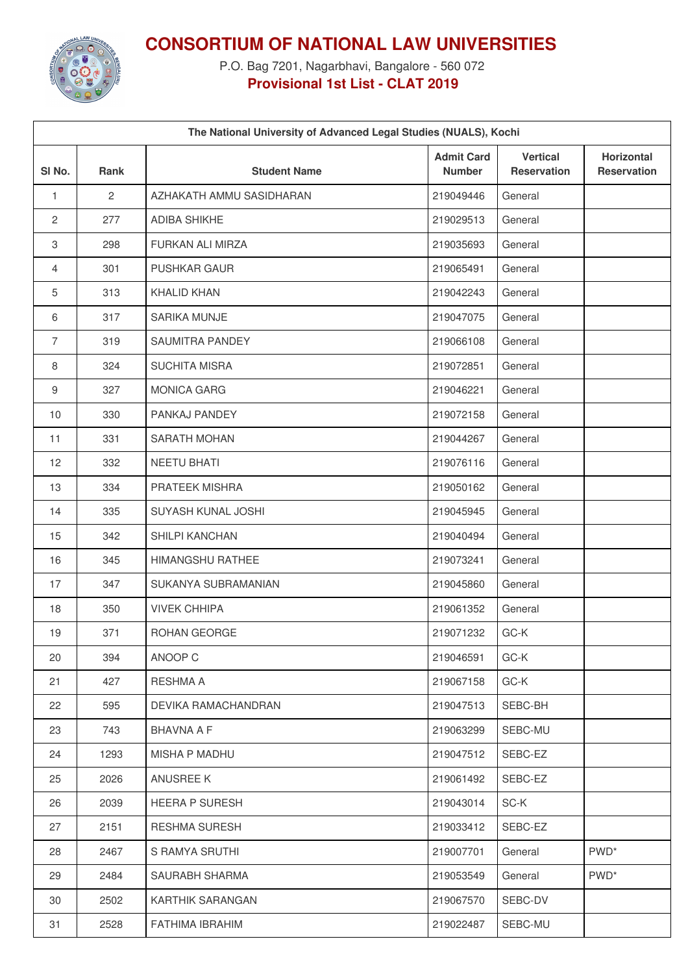

**CONSORTIUM OF NATIONAL LAW UNIVERSITIES**

P.O. Bag 7201, Nagarbhavi, Bangalore - 560 072 **Provisional 1st List - CLAT 2019**

| The National University of Advanced Legal Studies (NUALS), Kochi |              |                          |                                    |                                       |                                         |  |  |  |  |
|------------------------------------------------------------------|--------------|--------------------------|------------------------------------|---------------------------------------|-----------------------------------------|--|--|--|--|
| SI <sub>No.</sub>                                                | Rank         | <b>Student Name</b>      | <b>Admit Card</b><br><b>Number</b> | <b>Vertical</b><br><b>Reservation</b> | <b>Horizontal</b><br><b>Reservation</b> |  |  |  |  |
| 1                                                                | $\mathbf{2}$ | AZHAKATH AMMU SASIDHARAN | 219049446                          | General                               |                                         |  |  |  |  |
| $\overline{2}$                                                   | 277          | <b>ADIBA SHIKHE</b>      | 219029513                          | General                               |                                         |  |  |  |  |
| $\,3$                                                            | 298          | FURKAN ALI MIRZA         | 219035693                          | General                               |                                         |  |  |  |  |
| 4                                                                | 301          | <b>PUSHKAR GAUR</b>      | 219065491                          | General                               |                                         |  |  |  |  |
| 5                                                                | 313          | <b>KHALID KHAN</b>       | 219042243                          | General                               |                                         |  |  |  |  |
| 6                                                                | 317          | SARIKA MUNJE             | 219047075                          | General                               |                                         |  |  |  |  |
| $\overline{7}$                                                   | 319          | SAUMITRA PANDEY          | 219066108                          | General                               |                                         |  |  |  |  |
| 8                                                                | 324          | <b>SUCHITA MISRA</b>     | 219072851                          | General                               |                                         |  |  |  |  |
| 9                                                                | 327          | <b>MONICA GARG</b>       | 219046221                          | General                               |                                         |  |  |  |  |
| 10                                                               | 330          | PANKAJ PANDEY            | 219072158                          | General                               |                                         |  |  |  |  |
| 11                                                               | 331          | SARATH MOHAN             | 219044267                          | General                               |                                         |  |  |  |  |
| 12                                                               | 332          | <b>NEETU BHATI</b>       | 219076116                          | General                               |                                         |  |  |  |  |
| 13                                                               | 334          | PRATEEK MISHRA           | 219050162                          | General                               |                                         |  |  |  |  |
| 14                                                               | 335          | SUYASH KUNAL JOSHI       | 219045945                          | General                               |                                         |  |  |  |  |
| 15                                                               | 342          | SHILPI KANCHAN           | 219040494                          | General                               |                                         |  |  |  |  |
| 16                                                               | 345          | HIMANGSHU RATHEE         | 219073241                          | General                               |                                         |  |  |  |  |
| 17                                                               | 347          | SUKANYA SUBRAMANIAN      | 219045860                          | General                               |                                         |  |  |  |  |
| 18                                                               | 350          | <b>VIVEK CHHIPA</b>      | 219061352                          | General                               |                                         |  |  |  |  |
| 19                                                               | 371          | ROHAN GEORGE             | 219071232                          | GC-K                                  |                                         |  |  |  |  |
| 20                                                               | 394          | ANOOP C                  | 219046591                          | GC-K                                  |                                         |  |  |  |  |
| 21                                                               | 427          | RESHMA A                 | 219067158                          | GC-K                                  |                                         |  |  |  |  |
| 22                                                               | 595          | DEVIKA RAMACHANDRAN      | 219047513                          | SEBC-BH                               |                                         |  |  |  |  |
| 23                                                               | 743          | BHAVNA A F               | 219063299                          | SEBC-MU                               |                                         |  |  |  |  |
| 24                                                               | 1293         | <b>MISHA P MADHU</b>     | 219047512                          | SEBC-EZ                               |                                         |  |  |  |  |
| 25                                                               | 2026         | ANUSREE K                | 219061492                          | SEBC-EZ                               |                                         |  |  |  |  |
| 26                                                               | 2039         | <b>HEERA P SURESH</b>    | 219043014                          | SC-K                                  |                                         |  |  |  |  |
| 27                                                               | 2151         | <b>RESHMA SURESH</b>     | 219033412                          | SEBC-EZ                               |                                         |  |  |  |  |
| 28                                                               | 2467         | S RAMYA SRUTHI           | 219007701                          | General                               | PWD <sup>*</sup>                        |  |  |  |  |
| 29                                                               | 2484         | SAURABH SHARMA           | 219053549                          | General                               | PWD <sup>*</sup>                        |  |  |  |  |
| 30                                                               | 2502         | KARTHIK SARANGAN         | 219067570                          | SEBC-DV                               |                                         |  |  |  |  |
| 31                                                               | 2528         | FATHIMA IBRAHIM          | 219022487                          | SEBC-MU                               |                                         |  |  |  |  |